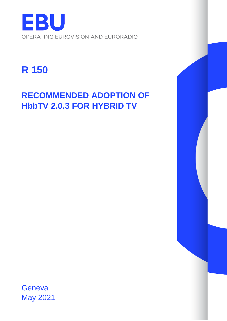

# **R 150**

## **RECOMMENDED ADOPTION OF HbbTV 2.0.3 FOR HYBRID TV**

**Geneva** May 2021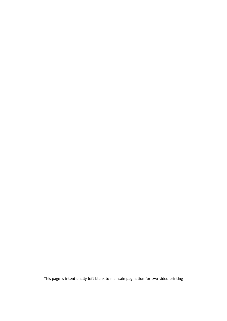This page is intentionally left blank to maintain pagination for two-sided printing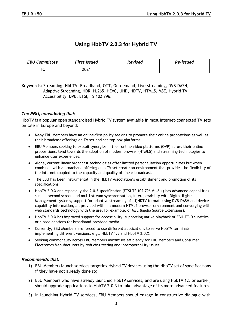## **Using HbbTV 2.0.3 for Hybrid TV**

| <b>EBU Committee</b> | <b>First Issued</b> | Revised | Re-issued |
|----------------------|---------------------|---------|-----------|
| ⇁<br>╰               | 2021                |         |           |

**Keywords:** Streaming, HbbTV, Broadband, OTT, On-demand, Live-streaming, DVB-DASH, Adaptive Streaming, HDR, H.265, HEVC, UHD, HDTV, HTML5, MSE, Hybrid TV, Accessibility, DVB, ETSI, TS 102 796**.**

### *The EBU, considering that:*

HbbTV is a popular open standardised Hybrid TV system available in most Internet-connected TV sets on sale in Europe and beyond:

- Many EBU Members have an online-first policy seeking to promote their online propositions as well as their broadcast offerings on TV set and set-top-box platforms.
- EBU Members seeking to exploit synergies in their online video platforms (OVP) across their online propositions, tend towards the adoption of modern browser (HTML5) and streaming technologies to enhance user experiences.
- Alone, current linear broadcast technologies offer limited personalisation opportunities but when combined with a broadband offering on a TV set create an environment that provides the flexibility of the Internet coupled to the capacity and quality of linear broadcast.
- The EBU has been instrumental in the HbbTV Association's establishment and promotion of its specifications.
- HbbTV 2.0.X and especially the 2.0.3 specification (ETSI TS 102 796 V1.6.1) has advanced capabilities such as second screen and multi-stream synchronisation, interoperability with Digital Rights Management systems, support for adaptive streaming of (U)HDTV formats using DVB-DASH and device capability information, all provided within a modern HTML5 browser environment and converging with web standards technology with the use, for example, of MSE (Media Source Extensions).
- HbbTV 2.0.X has improved support for accessibility, supporting native playback of EBU-TT-D subtitles or closed captions for broadband-provided media.
- Currently, EBU Members are forced to use different applications to serve HbbTV terminals implementing different versions, e.g., HbbTV 1.5 and HbbTV 2.0.X.
- Seeking commonality across EBU Members maximises efficiency for EBU Members and Consumer Electronics Manufacturers by reducing testing and interoperability issues.

#### *Recommends that:*

- 1) EBU Members launch services targeting Hybrid TV devices using the HbbTV set of specifications if they have not already done so;
- 2) EBU Members who have already launched HbbTV services, and are using HbbTV 1.5 or earlier, should upgrade applications to HbbTV 2.0.3 to take advantage of its more advanced features.
- 3) In launching Hybrid TV services, EBU Members should engage in constructive dialogue with